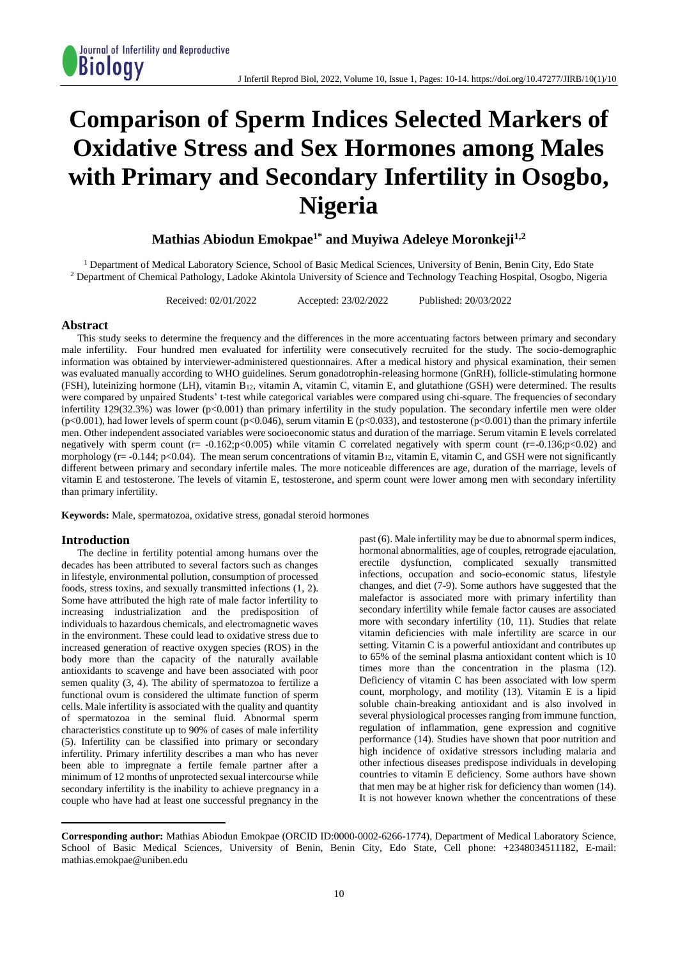# **Comparison of Sperm Indices Selected Markers of Oxidative Stress and Sex Hormones among Males with Primary and Secondary Infertility in Osogbo, Nigeria**

## **Mathias Abiodun Emokpae1\* and Muyiwa Adeleye Moronkeji1,2**

<sup>1</sup> Department of Medical Laboratory Science, School of Basic Medical Sciences, University of Benin, Benin City, Edo State <sup>2</sup> Department of Chemical Pathology, Ladoke Akintola University of Science and Technology Teaching Hospital, Osogbo, Nigeria

Received: 02/01/2022 Accepted: 23/02/2022 Published: 20/03/2022

## **Abstract**

This study seeks to determine the frequency and the differences in the more accentuating factors between primary and secondary male infertility. Four hundred men evaluated for infertility were consecutively recruited for the study. The socio-demographic information was obtained by interviewer-administered questionnaires. After a medical history and physical examination, their semen was evaluated manually according to WHO guidelines. Serum gonadotrophin-releasing hormone (GnRH), follicle-stimulating hormone (FSH), luteinizing hormone (LH), vitamin B12, vitamin A, vitamin C, vitamin E, and glutathione (GSH) were determined. The results were compared by unpaired Students' t-test while categorical variables were compared using chi-square. The frequencies of secondary infertility 129(32.3%) was lower ( $p<0.001$ ) than primary infertility in the study population. The secondary infertile men were older  $(p<0.001)$ , had lower levels of sperm count  $(p<0.046)$ , serum vitamin E  $(p<0.033)$ , and testosterone  $(p<0.001)$  than the primary infertile men. Other independent associated variables were socioeconomic status and duration of the marriage. Serum vitamin E levels correlated negatively with sperm count  $(r=-0.162; p<0.005)$  while vitamin C correlated negatively with sperm count  $(r=-0.136; p<0.02)$  and morphology ( $r = -0.144$ ; p<0.04). The mean serum concentrations of vitamin  $B_{12}$ , vitamin E, vitamin C, and GSH were not significantly different between primary and secondary infertile males. The more noticeable differences are age, duration of the marriage, levels of vitamin E and testosterone. The levels of vitamin E, testosterone, and sperm count were lower among men with secondary infertility than primary infertility.

**Keywords:** Male, spermatozoa, oxidative stress, gonadal steroid hormones

## **Introduction**

 $\overline{a}$ 

The decline in fertility potential among humans over the decades has been attributed to several factors such as changes in lifestyle, environmental pollution, consumption of processed foods, stress toxins, and sexually transmitted infections (1, 2). Some have attributed the high rate of male factor infertility to increasing industrialization and the predisposition of individuals to hazardous chemicals, and electromagnetic waves in the environment. These could lead to oxidative stress due to increased generation of reactive oxygen species (ROS) in the body more than the capacity of the naturally available antioxidants to scavenge and have been associated with poor semen quality (3, 4). The ability of spermatozoa to fertilize a functional ovum is considered the ultimate function of sperm cells. Male infertility is associated with the quality and quantity of spermatozoa in the seminal fluid. Abnormal sperm characteristics constitute up to 90% of cases of male infertility (5). Infertility can be classified into primary or secondary infertility. Primary infertility describes a man who has never been able to impregnate a fertile female partner after a minimum of 12 months of unprotected sexual intercourse while secondary infertility is the inability to achieve pregnancy in a couple who have had at least one successful pregnancy in the

past (6). Male infertility may be due to abnormal sperm indices, hormonal abnormalities, age of couples, retrograde ejaculation, erectile dysfunction, complicated sexually transmitted infections, occupation and socio-economic status, lifestyle changes, and diet (7-9). Some authors have suggested that the malefactor is associated more with primary infertility than secondary infertility while female factor causes are associated more with secondary infertility (10, 11). Studies that relate vitamin deficiencies with male infertility are scarce in our setting. Vitamin C is a powerful antioxidant and contributes up to 65% of the seminal plasma antioxidant content which is 10 times more than the concentration in the plasma (12). Deficiency of vitamin C has been associated with low sperm count, morphology, and motility (13). Vitamin E is a lipid soluble chain-breaking antioxidant and is also involved in several physiological processes ranging from immune function, regulation of inflammation, gene expression and cognitive performance (14). Studies have shown that poor nutrition and high incidence of oxidative stressors including malaria and other infectious diseases predispose individuals in developing countries to vitamin E deficiency. Some authors have shown that men may be at higher risk for deficiency than women (14). It is not however known whether the concentrations of these

**Corresponding author:** Mathias Abiodun Emokpae (ORCID ID:0000-0002-6266-1774), Department of Medical Laboratory Science, School of Basic Medical Sciences, University of Benin, Benin City, Edo State, Cell phone: +2348034511182, E-mail: mathias.emokpae@uniben.edu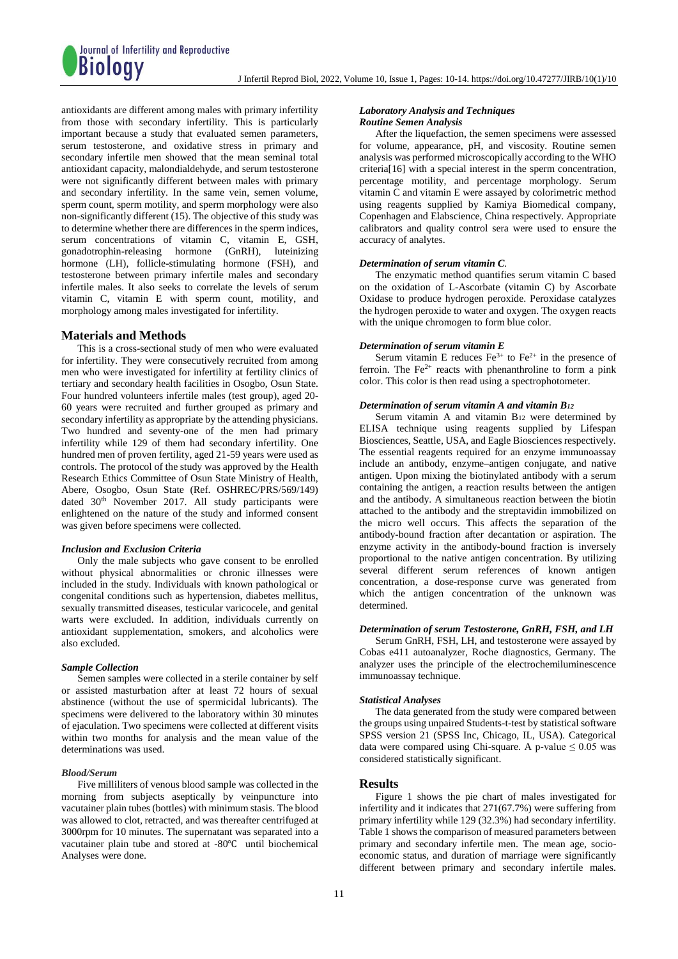antioxidants are different among males with primary infertility from those with secondary infertility. This is particularly important because a study that evaluated semen parameters, serum testosterone, and oxidative stress in primary and secondary infertile men showed that the mean seminal total antioxidant capacity, malondialdehyde, and serum testosterone were not significantly different between males with primary and secondary infertility. In the same vein, semen volume, sperm count, sperm motility, and sperm morphology were also non-significantly different (15). The objective of this study was to determine whether there are differences in the sperm indices, serum concentrations of vitamin C, vitamin E, GSH, gonadotrophin-releasing hormone (GnRH), luteinizing hormone (LH), follicle-stimulating hormone (FSH), and testosterone between primary infertile males and secondary infertile males. It also seeks to correlate the levels of serum vitamin C, vitamin E with sperm count, motility, and morphology among males investigated for infertility.

## **Materials and Methods**

This is a cross-sectional study of men who were evaluated for infertility. They were consecutively recruited from among men who were investigated for infertility at fertility clinics of tertiary and secondary health facilities in Osogbo, Osun State. Four hundred volunteers infertile males (test group), aged 20- 60 years were recruited and further grouped as primary and secondary infertility as appropriate by the attending physicians. Two hundred and seventy-one of the men had primary infertility while 129 of them had secondary infertility. One hundred men of proven fertility, aged 21-59 years were used as controls. The protocol of the study was approved by the Health Research Ethics Committee of Osun State Ministry of Health, Abere, Osogbo, Osun State (Ref. OSHREC/PRS/569/149) dated 30<sup>th</sup> November 2017. All study participants were enlightened on the nature of the study and informed consent was given before specimens were collected.

## *Inclusion and Exclusion Criteria*

Only the male subjects who gave consent to be enrolled without physical abnormalities or chronic illnesses were included in the study. Individuals with known pathological or congenital conditions such as hypertension, diabetes mellitus, sexually transmitted diseases, testicular varicocele, and genital warts were excluded. In addition, individuals currently on antioxidant supplementation, smokers, and alcoholics were also excluded.

## *Sample Collection*

Semen samples were collected in a sterile container by self or assisted masturbation after at least 72 hours of sexual abstinence (without the use of spermicidal lubricants). The specimens were delivered to the laboratory within 30 minutes of ejaculation. Two specimens were collected at different visits within two months for analysis and the mean value of the determinations was used.

### *Blood/Serum*

Five milliliters of venous blood sample was collected in the morning from subjects aseptically by veinpuncture into vacutainer plain tubes (bottles) with minimum stasis. The blood was allowed to clot, retracted, and was thereafter centrifuged at 3000rpm for 10 minutes. The supernatant was separated into a vacutainer plain tube and stored at -80℃ until biochemical Analyses were done.

## *Laboratory Analysis and Techniques Routine Semen Analysis*

After the liquefaction, the semen specimens were assessed for volume, appearance, pH, and viscosity. Routine semen analysis was performed microscopically according to the WHO criteria[16] with a special interest in the sperm concentration, percentage motility, and percentage morphology. Serum vitamin C and vitamin E were assayed by colorimetric method using reagents supplied by Kamiya Biomedical company, Copenhagen and Elabscience, China respectively. Appropriate calibrators and quality control sera were used to ensure the accuracy of analytes.

## *Determination of serum vitamin C.*

The enzymatic method quantifies serum vitamin C based on the oxidation of L-Ascorbate (vitamin C) by Ascorbate Oxidase to produce hydrogen peroxide. Peroxidase catalyzes the hydrogen peroxide to water and oxygen. The oxygen reacts with the unique chromogen to form blue color.

## *Determination of serum vitamin E*

Serum vitamin E reduces  $Fe^{3+}$  to  $Fe^{2+}$  in the presence of ferroin. The  $Fe^{2+}$  reacts with phenanthroline to form a pink color. This color is then read using a spectrophotometer.

## *Determination of serum vitamin A and vitamin B<sup>12</sup>*

Serum vitamin A and vitamin B<sup>12</sup> were determined by ELISA technique using reagents supplied by Lifespan Biosciences, Seattle, USA, and Eagle Biosciences respectively. The essential reagents required for an enzyme immunoassay include an antibody, enzyme–antigen conjugate, and native antigen. Upon mixing the biotinylated antibody with a serum containing the antigen, a reaction results between the antigen and the antibody. A simultaneous reaction between the biotin attached to the antibody and the streptavidin immobilized on the micro well occurs. This affects the separation of the antibody-bound fraction after decantation or aspiration. The enzyme activity in the antibody-bound fraction is inversely proportional to the native antigen concentration. By utilizing several different serum references of known antigen concentration, a dose-response curve was generated from which the antigen concentration of the unknown was determined.

## *Determination of serum Testosterone, GnRH, FSH, and LH*

Serum GnRH, FSH, LH, and testosterone were assayed by Cobas e411 autoanalyzer, Roche diagnostics, Germany. The analyzer uses the principle of the electrochemiluminescence immunoassay technique.

#### *Statistical Analyses*

The data generated from the study were compared between the groups using unpaired Students-t-test by statistical software SPSS version 21 (SPSS Inc, Chicago, IL, USA). Categorical data were compared using Chi-square. A p-value  $\leq 0.05$  was considered statistically significant.

## **Results**

Figure 1 shows the pie chart of males investigated for infertility and it indicates that 271(67.7%) were suffering from primary infertility while 129 (32.3%) had secondary infertility. Table 1 shows the comparison of measured parameters between primary and secondary infertile men. The mean age, socioeconomic status, and duration of marriage were significantly different between primary and secondary infertile males.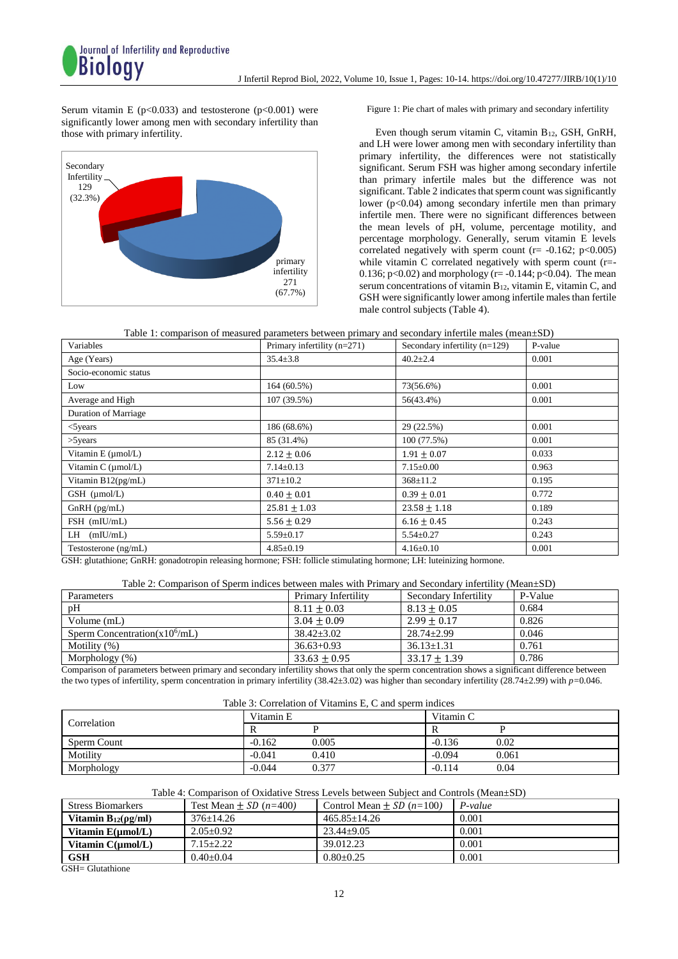Serum vitamin E ( $p<0.033$ ) and testosterone ( $p<0.001$ ) were significantly lower among men with secondary infertility than those with primary infertility.



Figure 1: Pie chart of males with primary and secondary infertility

Even though serum vitamin C, vitamin B12, GSH, GnRH, and LH were lower among men with secondary infertility than primary infertility, the differences were not statistically significant. Serum FSH was higher among secondary infertile than primary infertile males but the difference was not significant. Table 2 indicates that sperm count was significantly lower (p<0.04) among secondary infertile men than primary infertile men. There were no significant differences between the mean levels of pH, volume, percentage motility, and percentage morphology. Generally, serum vitamin E levels correlated negatively with sperm count ( $r = -0.162$ ;  $p < 0.005$ ) while vitamin C correlated negatively with sperm count (r=- 0.136;  $p < 0.02$ ) and morphology (r= -0.144;  $p < 0.04$ ). The mean serum concentrations of vitamin B12, vitamin E, vitamin C, and GSH were significantly lower among infertile males than fertile male control subjects (Table 4).

Table 1: comparison of measured parameters between primary and secondary infertile males (mean±SD)

| racio 1: comparison or measured parameters secured primary and secondary internet mates (mean=bD)                                                                                                                                                             |                               |                                 |         |  |
|---------------------------------------------------------------------------------------------------------------------------------------------------------------------------------------------------------------------------------------------------------------|-------------------------------|---------------------------------|---------|--|
| Variables                                                                                                                                                                                                                                                     | Primary infertility $(n=271)$ | Secondary infertility $(n=129)$ | P-value |  |
| Age (Years)                                                                                                                                                                                                                                                   | $35.4 \pm 3.8$                | $40.2 \pm 2.4$                  | 0.001   |  |
| Socio-economic status                                                                                                                                                                                                                                         |                               |                                 |         |  |
| Low                                                                                                                                                                                                                                                           | 164 (60.5%)                   | 73(56.6%)                       | 0.001   |  |
| Average and High                                                                                                                                                                                                                                              | 107 (39.5%)                   | 56(43.4%)                       | 0.001   |  |
| <b>Duration of Marriage</b>                                                                                                                                                                                                                                   |                               |                                 |         |  |
| $<$ 5 years                                                                                                                                                                                                                                                   | 186 (68.6%)                   | 29 (22.5%)                      | 0.001   |  |
| $>5$ years                                                                                                                                                                                                                                                    | 85 (31.4%)                    | 100 (77.5%)                     | 0.001   |  |
| Vitamin $E \text{ (µmol/L)}$                                                                                                                                                                                                                                  | $2.12 \pm 0.06$               | $1.91 \pm 0.07$                 | 0.033   |  |
| Vitamin C (µmol/L)                                                                                                                                                                                                                                            | $7.14 \pm 0.13$               | $7.15 \pm 0.00$                 | 0.963   |  |
| Vitamin B12(pg/mL)                                                                                                                                                                                                                                            | $371 \pm 10.2$                | $368 \pm 11.2$                  | 0.195   |  |
| $GSH$ ( $\mu$ mol/L)                                                                                                                                                                                                                                          | $0.40 \pm 0.01$               | $0.39 \pm 0.01$                 | 0.772   |  |
| $GnRH$ (pg/mL)                                                                                                                                                                                                                                                | $25.81 \pm 1.03$              | $23.58 \pm 1.18$                | 0.189   |  |
| FSH (mIU/mL)                                                                                                                                                                                                                                                  | $5.56 \pm 0.29$               | $6.16 \pm 0.45$                 | 0.243   |  |
| $LH$ (mIU/mL)                                                                                                                                                                                                                                                 | $5.59 \pm 0.17$               | $5.54 \pm 0.27$                 | 0.243   |  |
| Testosterone (ng/mL)                                                                                                                                                                                                                                          | $4.85 \pm 0.19$               | $4.16 \pm 0.10$                 | 0.001   |  |
| $C(1)$ $1 + 1$ $1 + 1$ $1 + 1$ $1 + 1$ $1 + 1$ $1 + 1$ $1 + 1$ $1 + 1$ $1 + 1$ $1 + 1$ $1 + 1$ $1 + 1$ $1 + 1$ $1 + 1$ $1 + 1$ $1 + 1$ $1 + 1$ $1 + 1$ $1 + 1$ $1 + 1$ $1 + 1$ $1 + 1$ $1 + 1$ $1 + 1$ $1 + 1$ $1 + 1$ $1 + 1$ $1 + 1$ $1 + 1$ $1 + 1$ $1 + $ |                               |                                 |         |  |

GSH: glutathione; GnRH: gonadotropin releasing hormone; FSH: follicle stimulating hormone; LH: luteinizing hormone.

## Table 2: Comparison of Sperm indices between males with Primary and Secondary infertility (Mean±SD)

| Parameters                        | Primary Infertility | Secondary Infertility | P-Value |
|-----------------------------------|---------------------|-----------------------|---------|
| pH                                | $8.11 + 0.03$       | $8.13 \pm 0.05$       | 0.684   |
| Volume (mL)                       | $3.04 + 0.09$       | $2.99 \pm 0.17$       | 0.826   |
| Sperm Concentration( $x10^6$ /mL) | $38.42 \pm 3.02$    | $28.74 \pm 2.99$      | 0.046   |
| Motility $(\%)$                   | $36.63 + 0.93$      | $36.13 \pm 1.31$      | 0.761   |
| Morphology $(\%)$                 | $33.63 + 0.95$      | $33.17 + 1.39$        | 0.786   |

Comparison of parameters between primary and secondary infertility shows that only the sperm concentration shows a significant difference between the two types of infertility, sperm concentration in primary infertility (38.42±3.02) was higher than secondary infertility (28.74±2.99) with  $p=0.046$ .

| Table 3: Correlation of Vitamins E, C and sperm indices |  |  |  |  |  |
|---------------------------------------------------------|--|--|--|--|--|
|---------------------------------------------------------|--|--|--|--|--|

| Correlation | Vitamin E |       | Vitamin C |       |
|-------------|-----------|-------|-----------|-------|
|             |           |       |           |       |
| Sperm Count | $-0.162$  | 0.005 | $-0.136$  | 0.02  |
| Motility    | $-0.041$  | 0.410 | $-0.094$  | 0.061 |
| Morphology  | $-0.044$  | 0.377 | $-0.114$  | 0.04  |

## Table 4: Comparison of Oxidative Stress Levels between Subject and Controls (Mean±SD)

| <b>Stress Biomarkers</b>    | Test Mean $\pm SD$ ( <i>n</i> =400) | Control Mean $\pm SD$ (n=100) | $P-value$ |
|-----------------------------|-------------------------------------|-------------------------------|-----------|
| Vitamin $B_{12}(\rho g/ml)$ | $376+14.26$                         | $465.85 + 14.26$              | 0.001     |
| Vitamin $E(\mu mol/L)$      | $2.05+0.92$                         | $23.44+9.05$                  | 0.001     |
| Vitamin $C(\mu mol/L)$      | $7.15 + 2.22$                       | 39.012.23                     | 0.001     |
| GSH                         | $0.40+0.04$                         | $0.80 + 0.25$                 | 0.001     |

GSH= Glutathione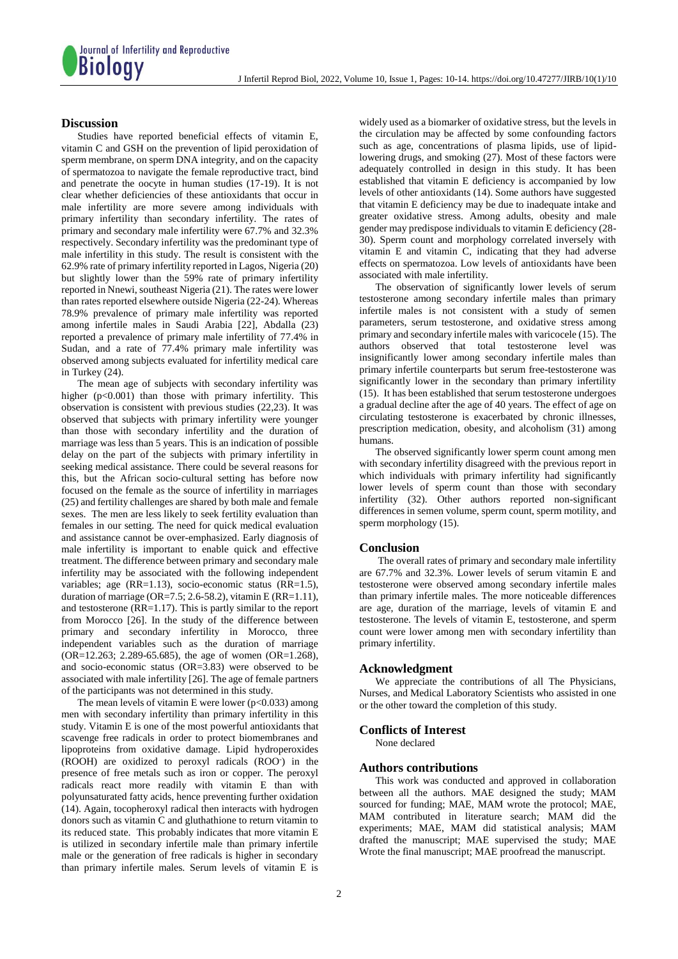

## **Discussion**

Studies have reported beneficial effects of vitamin E, vitamin C and GSH on the prevention of lipid peroxidation of sperm membrane, on sperm DNA integrity, and on the capacity of spermatozoa to navigate the female reproductive tract, bind and penetrate the oocyte in human studies (17-19). It is not clear whether deficiencies of these antioxidants that occur in male infertility are more severe among individuals with primary infertility than secondary infertility. The rates of primary and secondary male infertility were 67.7% and 32.3% respectively. Secondary infertility was the predominant type of male infertility in this study. The result is consistent with the 62.9% rate of primary infertility reported in Lagos, Nigeria (20) but slightly lower than the 59% rate of primary infertility reported in Nnewi, southeast Nigeria (21). The rates were lower than rates reported elsewhere outside Nigeria (22-24). Whereas 78.9% prevalence of primary male infertility was reported among infertile males in Saudi Arabia [22], Abdalla (23) reported a prevalence of primary male infertility of 77.4% in Sudan, and a rate of 77.4% primary male infertility was observed among subjects evaluated for infertility medical care in Turkey (24).

The mean age of subjects with secondary infertility was higher  $(p<0.001)$  than those with primary infertility. This observation is consistent with previous studies (22,23). It was observed that subjects with primary infertility were younger than those with secondary infertility and the duration of marriage was less than 5 years. This is an indication of possible delay on the part of the subjects with primary infertility in seeking medical assistance. There could be several reasons for this, but the African socio‑cultural setting has before now focused on the female as the source of infertility in marriages (25) and fertility challenges are shared by both male and female sexes. The men are less likely to seek fertility evaluation than females in our setting. The need for quick medical evaluation and assistance cannot be over-emphasized. Early diagnosis of male infertility is important to enable quick and effective treatment. The difference between primary and secondary male infertility may be associated with the following independent variables; age (RR=1.13), socio-economic status (RR=1.5), duration of marriage ( $OR=7.5$ ; 2.6-58.2), vitamin E ( $RR=1.11$ ), and testosterone (RR=1.17). This is partly similar to the report from Morocco [26]. In the study of the difference between primary and secondary infertility in Morocco, three independent variables such as the duration of marriage  $(OR=12.263; 2.289-65.685)$ , the age of women  $(OR=1.268)$ , and socio-economic status (OR=3.83) were observed to be associated with male infertility [26]. The age of female partners of the participants was not determined in this study.

The mean levels of vitamin E were lower ( $p<0.033$ ) among men with secondary infertility than primary infertility in this study. Vitamin E is one of the most powerful antioxidants that scavenge free radicals in order to protect biomembranes and lipoproteins from oxidative damage. Lipid hydroperoxides (ROOH) are oxidized to peroxyl radicals (ROO- ) in the presence of free metals such as iron or copper. The peroxyl radicals react more readily with vitamin E than with polyunsaturated fatty acids, hence preventing further oxidation (14). Again, tocopheroxyl radical then interacts with hydrogen donors such as vitamin C and gluthathione to return vitamin to its reduced state. This probably indicates that more vitamin E is utilized in secondary infertile male than primary infertile male or the generation of free radicals is higher in secondary than primary infertile males. Serum levels of vitamin E is

widely used as a biomarker of oxidative stress, but the levels in the circulation may be affected by some confounding factors such as age, concentrations of plasma lipids, use of lipidlowering drugs, and smoking (27). Most of these factors were adequately controlled in design in this study. It has been established that vitamin E deficiency is accompanied by low levels of other antioxidants (14). Some authors have suggested that vitamin E deficiency may be due to inadequate intake and greater oxidative stress. Among adults, obesity and male gender may predispose individuals to vitamin E deficiency (28- 30). Sperm count and morphology correlated inversely with vitamin E and vitamin C, indicating that they had adverse effects on spermatozoa. Low levels of antioxidants have been associated with male infertility.

The observation of significantly lower levels of serum testosterone among secondary infertile males than primary infertile males is not consistent with a study of semen parameters, serum testosterone, and oxidative stress among primary and secondary infertile males with varicocele (15). The authors observed that total testosterone level was insignificantly lower among secondary infertile males than primary infertile counterparts but serum free-testosterone was significantly lower in the secondary than primary infertility (15). It has been established that serum testosterone undergoes a gradual decline after the age of 40 years. The effect of age on circulating testosterone is exacerbated by chronic illnesses, prescription medication, obesity, and alcoholism (31) among humans.

The observed significantly lower sperm count among men with secondary infertility disagreed with the previous report in which individuals with primary infertility had significantly lower levels of sperm count than those with secondary infertility (32). Other authors reported non-significant differences in semen volume, sperm count, sperm motility, and sperm morphology (15).

## **Conclusion**

The overall rates of primary and secondary male infertility are 67.7% and 32.3%. Lower levels of serum vitamin E and testosterone were observed among secondary infertile males than primary infertile males. The more noticeable differences are age, duration of the marriage, levels of vitamin E and testosterone. The levels of vitamin E, testosterone, and sperm count were lower among men with secondary infertility than primary infertility.

## **Acknowledgment**

We appreciate the contributions of all The Physicians, Nurses, and Medical Laboratory Scientists who assisted in one or the other toward the completion of this study.

## **Conflicts of Interest**

None declared

## **Authors contributions**

This work was conducted and approved in collaboration between all the authors. MAE designed the study; MAM sourced for funding; MAE, MAM wrote the protocol; MAE, MAM contributed in literature search; MAM did the experiments; MAE, MAM did statistical analysis; MAM drafted the manuscript; MAE supervised the study; MAE Wrote the final manuscript; MAE proofread the manuscript.